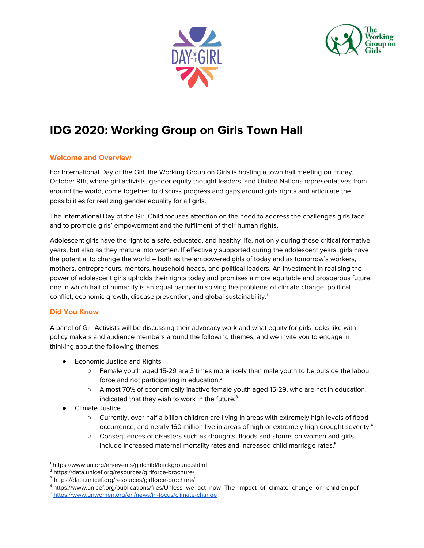



# **IDG 2020: Working Group on Girls Town Hall**

## **Welcome and Overview**

For International Day of the Girl, the Working Group on Girls is hosting a town hall meeting on Friday, October 9th, where girl activists, gender equity thought leaders, and United Nations representatives from around the world, come together to discuss progress and gaps around girls rights and articulate the possibilities for realizing gender equality for all girls.

The International Day of the Girl Child focuses attention on the need to address the challenges girls face and to promote girls' empowerment and the fulfilment of their human rights.

Adolescent girls have the right to a safe, educated, and healthy life, not only during these critical formative years, but also as they mature into women. If effectively supported during the adolescent years, girls have the potential to change the world – both as the empowered girls of today and as tomorrow's workers, mothers, entrepreneurs, mentors, household heads, and political leaders. An investment in realising the power of adolescent girls upholds their rights today and promises a more equitable and prosperous future, one in which half of humanity is an equal partner in solving the problems of climate change, political conflict, economic growth, disease prevention, and global sustainability. 1

### **Did You Know**

A panel of Girl Activists will be discussing their advocacy work and what equity for girls looks like with policy makers and audience members around the following themes, and we invite you to engage in thinking about the following themes:

- Economic Justice and Rights
	- Female youth aged 15-29 are 3 times more likely than male youth to be outside the labour force and not participating in education.<sup>2</sup>
	- Almost 70% of economically inactive female youth aged 15-29, who are not in education, indicated that they wish to work in the future.<sup>3</sup>
- **Climate Justice** 
	- Currently, over half a billion children are living in areas with extremely high levels of flood occurrence, and nearly 160 million live in areas of high or extremely high drought severity.<sup>4</sup>
	- Consequences of disasters such as droughts, floods and storms on women and girls include increased maternal mortality rates and increased child marriage rates. 5

<sup>1</sup> https://www.un.org/en/events/girlchild/background.shtml

<sup>2</sup> https://data.unicef.org/resources/girlforce-brochure/

<sup>3</sup> https://data.unicef.org/resources/girlforce-brochure/

<sup>4</sup> https://www.unicef.org/publications/files/Unless\_we\_act\_now\_The\_impact\_of\_climate\_change\_on\_children.pdf

<sup>5</sup> <https://www.unwomen.org/en/news/in-focus/climate-change>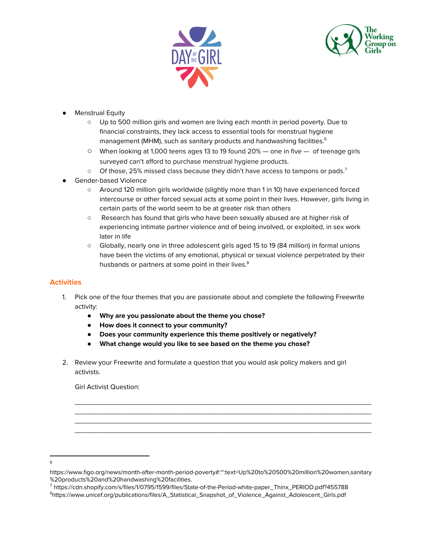



- **Menstrual Equity** 
	- Up to 500 [million](https://www.unicef.org/media/media_81135.html) girls and women are living each month in period poverty. Due to financial constraints, they lack access to essential tools for menstrual hygiene management (MHM), such as sanitary products and handwashing facilities. 6
	- $\circ$  When looking at 1,000 teens ages 13 to 19 found 20% one in five of teenage girls surveyed can't afford to purchase menstrual hygiene products.
	- $\circ$  Of those, 25% missed class because they didn't have access to tampons or pads.<sup>7</sup>
- **Gender-based Violence** 
	- Around 120 million girls worldwide (slightly more than 1 in 10) have experienced forced intercourse or other forced sexual acts at some point in their lives. However, girls living in certain parts of the world seem to be at greater risk than others
	- Research has found that girls who have been sexually abused are at higher risk of experiencing intimate partner violence and of being involved, or exploited, in sex work later in life
	- Globally, nearly one in three adolescent girls aged 15 to 19 (84 million) in formal unions have been the victims of any emotional, physical or sexual violence perpetrated by their husbands or partners at some point in their lives.<sup>8</sup>

# **Activities**

- 1. Pick one of the four themes that you are passionate about and complete the following Freewrite activity:
	- **● Why are you passionate about the theme you chose?**
	- **● How does it connect to your community?**
	- **● Does your community experience this theme positively or negatively?**
	- **● What change would you like to see based on the theme you chose?**
- 2. Review your Freewrite and formulate a question that you would ask policy makers and girl activists.

 $\overline{\phantom{a}}$  , and the set of the set of the set of the set of the set of the set of the set of the set of the set of the set of the set of the set of the set of the set of the set of the set of the set of the set of the s  $\overline{\phantom{a}}$  , and the set of the set of the set of the set of the set of the set of the set of the set of the set of the set of the set of the set of the set of the set of the set of the set of the set of the set of the s  $\overline{\phantom{a}}$  , and the set of the set of the set of the set of the set of the set of the set of the set of the set of the set of the set of the set of the set of the set of the set of the set of the set of the set of the s  $\overline{\phantom{a}}$  , and the set of the set of the set of the set of the set of the set of the set of the set of the set of the set of the set of the set of the set of the set of the set of the set of the set of the set of the s

Girl Activist Question:

<sup>7</sup> https://cdn.shopify.com/s/files/1/0795/1599/files/State-of-the-Period-white-paper\_Thinx\_PERIOD.pdf?455788 <sup>8</sup>https://www.unicef.org/publications/files/A\_Statistical\_Snapshot\_of\_Violence\_Against\_Adolescent\_Girls.pdf

<sup>6</sup>

https://www.figo.org/news/month-after-month-period-poverty#:~:text=Up%20to%20500%20million%20women,sanitary %20products%20and%20handwashing%20facilities.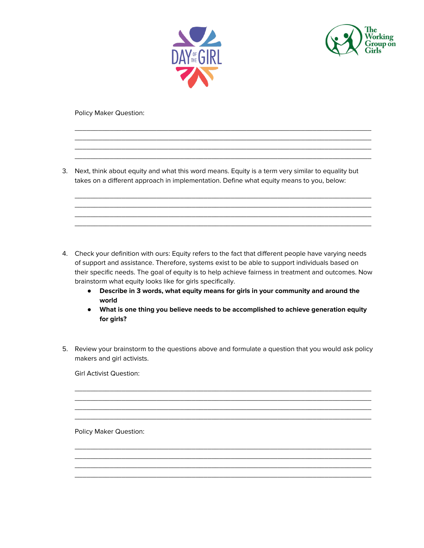



Policy Maker Question:

3. Next, think about equity and what this word means. Equity is a term very similar to equality but takes on a different approach in implementation. Define what equity means to you, below:

 $\overline{\phantom{a}}$  , and the set of the set of the set of the set of the set of the set of the set of the set of the set of the set of the set of the set of the set of the set of the set of the set of the set of the set of the s  $\overline{\phantom{a}}$  , and the set of the set of the set of the set of the set of the set of the set of the set of the set of the set of the set of the set of the set of the set of the set of the set of the set of the set of the s  $\overline{\phantom{a}}$  , and the set of the set of the set of the set of the set of the set of the set of the set of the set of the set of the set of the set of the set of the set of the set of the set of the set of the set of the s  $\overline{\phantom{a}}$  , and the set of the set of the set of the set of the set of the set of the set of the set of the set of the set of the set of the set of the set of the set of the set of the set of the set of the set of the s

 $\overline{\phantom{a}}$  , and the set of the set of the set of the set of the set of the set of the set of the set of the set of the set of the set of the set of the set of the set of the set of the set of the set of the set of the s  $\overline{\phantom{a}}$  , and the set of the set of the set of the set of the set of the set of the set of the set of the set of the set of the set of the set of the set of the set of the set of the set of the set of the set of the s  $\overline{\phantom{a}}$  , and the set of the set of the set of the set of the set of the set of the set of the set of the set of the set of the set of the set of the set of the set of the set of the set of the set of the set of the s  $\overline{\phantom{a}}$  , and the set of the set of the set of the set of the set of the set of the set of the set of the set of the set of the set of the set of the set of the set of the set of the set of the set of the set of the s

- 4. Check your definition with ours: Equity refers to the fact that different people have varying needs of support and assistance. Therefore, systems exist to be able to support individuals based on their specific needs. The goal of equity is to help achieve fairness in treatment and outcomes. Now brainstorm what equity looks like for girls specifically.
	- **● Describe in 3 words, what equity means for girls in your community and around the world**
	- **● What is one thing you believe needs to be accomplished to achieve generation equity for girls?**
- 5. Review your brainstorm to the questions above and formulate a question that you would ask policy makers and girl activists.

 $\overline{\phantom{a}}$  , and the set of the set of the set of the set of the set of the set of the set of the set of the set of the set of the set of the set of the set of the set of the set of the set of the set of the set of the s  $\overline{\phantom{a}}$  , and the set of the set of the set of the set of the set of the set of the set of the set of the set of the set of the set of the set of the set of the set of the set of the set of the set of the set of the s  $\overline{\phantom{a}}$  , and the set of the set of the set of the set of the set of the set of the set of the set of the set of the set of the set of the set of the set of the set of the set of the set of the set of the set of the s  $\overline{\phantom{a}}$  , and the set of the set of the set of the set of the set of the set of the set of the set of the set of the set of the set of the set of the set of the set of the set of the set of the set of the set of the s

 $\overline{\phantom{a}}$  , and the set of the set of the set of the set of the set of the set of the set of the set of the set of the set of the set of the set of the set of the set of the set of the set of the set of the set of the s  $\overline{\phantom{a}}$  , and the set of the set of the set of the set of the set of the set of the set of the set of the set of the set of the set of the set of the set of the set of the set of the set of the set of the set of the s  $\overline{\phantom{a}}$  , and the set of the set of the set of the set of the set of the set of the set of the set of the set of the set of the set of the set of the set of the set of the set of the set of the set of the set of the s \_\_\_\_\_\_\_\_\_\_\_\_\_\_\_\_\_\_\_\_\_\_\_\_\_\_\_\_\_\_\_\_\_\_\_\_\_\_\_\_\_\_\_\_\_\_\_\_\_\_\_\_\_\_\_\_\_\_\_\_\_\_\_\_\_\_\_\_\_\_\_\_\_\_\_\_

Girl Activist Question:

Policy Maker Question: